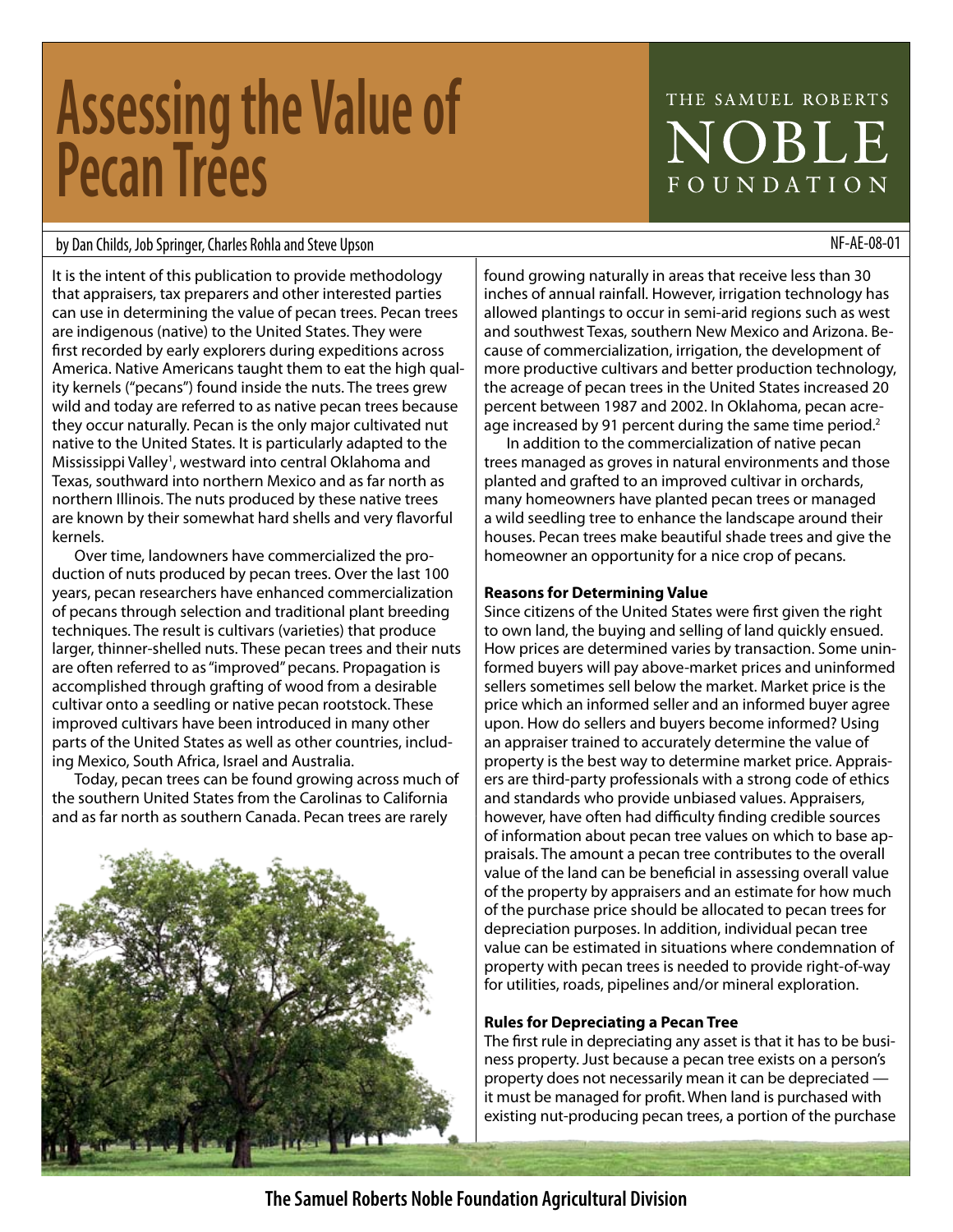# **Assessing the Value of Pecan Irees**

## THE SAMUEL ROBERTS NOBLE FOUNDATION

#### by Dan Childs, Job Springer, Charles Rohla and Steve Upson NF-AE-08-01

It is the intent of this publication to provide methodology that appraisers, tax preparers and other interested parties can use in determining the value of pecan trees. Pecan trees are indigenous (native) to the United States. They were first recorded by early explorers during expeditions across America. Native Americans taught them to eat the high quality kernels ("pecans") found inside the nuts. The trees grew wild and today are referred to as native pecan trees because they occur naturally. Pecan is the only major cultivated nut native to the United States. It is particularly adapted to the Mississippi Valley<sup>1</sup>, westward into central Oklahoma and Texas, southward into northern Mexico and as far north as northern Illinois. The nuts produced by these native trees are known by their somewhat hard shells and very flavorful kernels.

Over time, landowners have commercialized the production of nuts produced by pecan trees. Over the last 100 years, pecan researchers have enhanced commercialization of pecans through selection and traditional plant breeding techniques. The result is cultivars (varieties) that produce larger, thinner-shelled nuts. These pecan trees and their nuts are often referred to as "improved" pecans. Propagation is accomplished through grafting of wood from a desirable cultivar onto a seedling or native pecan rootstock. These improved cultivars have been introduced in many other parts of the United States as well as other countries, including Mexico, South Africa, Israel and Australia.

Today, pecan trees can be found growing across much of the southern United States from the Carolinas to California and as far north as southern Canada. Pecan trees are rarely



found growing naturally in areas that receive less than 30 inches of annual rainfall. However, irrigation technology has allowed plantings to occur in semi-arid regions such as west and southwest Texas, southern New Mexico and Arizona. Because of commercialization, irrigation, the development of more productive cultivars and better production technology, the acreage of pecan trees in the United States increased 20 percent between 1987 and 2002. In Oklahoma, pecan acreage increased by 91 percent during the same time period.<sup>2</sup>

In addition to the commercialization of native pecan trees managed as groves in natural environments and those planted and grafted to an improved cultivar in orchards, many homeowners have planted pecan trees or managed a wild seedling tree to enhance the landscape around their houses. Pecan trees make beautiful shade trees and give the homeowner an opportunity for a nice crop of pecans.

#### **Reasons for Determining Value**

Since citizens of the United States were first given the right to own land, the buying and selling of land quickly ensued. How prices are determined varies by transaction. Some uninformed buyers will pay above-market prices and uninformed sellers sometimes sell below the market. Market price is the price which an informed seller and an informed buyer agree upon. How do sellers and buyers become informed? Using an appraiser trained to accurately determine the value of property is the best way to determine market price. Appraisers are third-party professionals with a strong code of ethics and standards who provide unbiased values. Appraisers, however, have often had difficulty finding credible sources of information about pecan tree values on which to base appraisals. The amount a pecan tree contributes to the overall value of the land can be beneficial in assessing overall value of the property by appraisers and an estimate for how much of the purchase price should be allocated to pecan trees for depreciation purposes. In addition, individual pecan tree value can be estimated in situations where condemnation of property with pecan trees is needed to provide right-of-way for utilities, roads, pipelines and/or mineral exploration.

#### **Rules for Depreciating a Pecan Tree**

The first rule in depreciating any asset is that it has to be business property. Just because a pecan tree exists on a person's property does not necessarily mean it can be depreciated it must be managed for profit. When land is purchased with existing nut-producing pecan trees, a portion of the purchase

**The Samuel Roberts Noble Foundation Agricultural Division**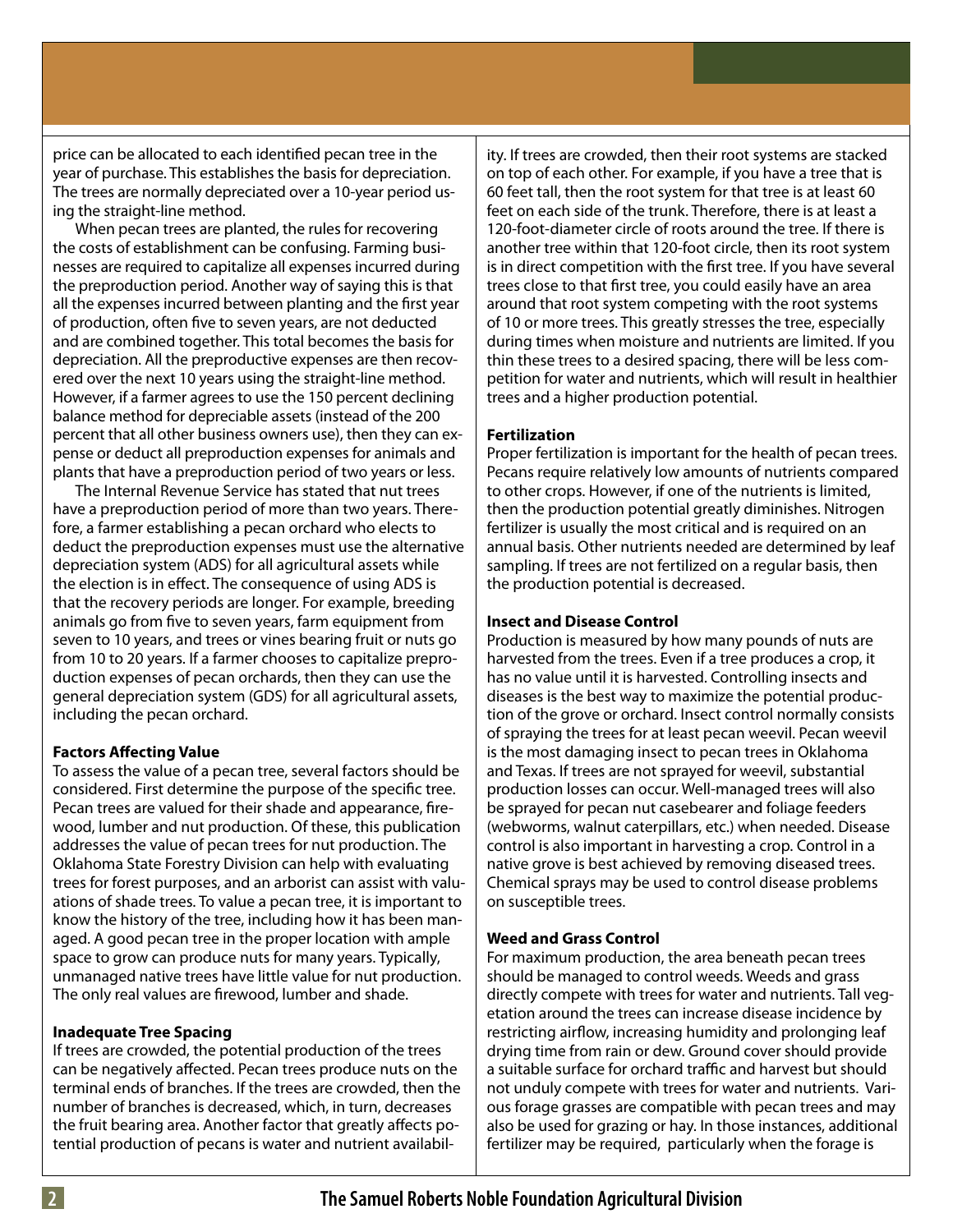price can be allocated to each identified pecan tree in the year of purchase. This establishes the basis for depreciation. The trees are normally depreciated over a 10-year period using the straight-line method.

When pecan trees are planted, the rules for recovering the costs of establishment can be confusing. Farming businesses are required to capitalize all expenses incurred during the preproduction period. Another way of saying this is that all the expenses incurred between planting and the first year of production, often five to seven years, are not deducted and are combined together. This total becomes the basis for depreciation. All the preproductive expenses are then recovered over the next 10 years using the straight-line method. However, if a farmer agrees to use the 150 percent declining balance method for depreciable assets (instead of the 200 percent that all other business owners use), then they can expense or deduct all preproduction expenses for animals and plants that have a preproduction period of two years or less.

The Internal Revenue Service has stated that nut trees have a preproduction period of more than two years. Therefore, a farmer establishing a pecan orchard who elects to deduct the preproduction expenses must use the alternative depreciation system (ADS) for all agricultural assets while the election is in effect. The consequence of using ADS is that the recovery periods are longer. For example, breeding animals go from five to seven years, farm equipment from seven to 10 years, and trees or vines bearing fruit or nuts go from 10 to 20 years. If a farmer chooses to capitalize preproduction expenses of pecan orchards, then they can use the general depreciation system (GDS) for all agricultural assets, including the pecan orchard.

#### **Factors Affecting Value**

To assess the value of a pecan tree, several factors should be considered. First determine the purpose of the specific tree. Pecan trees are valued for their shade and appearance, firewood, lumber and nut production. Of these, this publication addresses the value of pecan trees for nut production. The Oklahoma State Forestry Division can help with evaluating trees for forest purposes, and an arborist can assist with valuations of shade trees. To value a pecan tree, it is important to know the history of the tree, including how it has been managed. A good pecan tree in the proper location with ample space to grow can produce nuts for many years. Typically, unmanaged native trees have little value for nut production. The only real values are firewood, lumber and shade.

#### **Inadequate Tree Spacing**

If trees are crowded, the potential production of the trees can be negatively affected. Pecan trees produce nuts on the terminal ends of branches. If the trees are crowded, then the number of branches is decreased, which, in turn, decreases the fruit bearing area. Another factor that greatly affects potential production of pecans is water and nutrient availability. If trees are crowded, then their root systems are stacked on top of each other. For example, if you have a tree that is 60 feet tall, then the root system for that tree is at least 60 feet on each side of the trunk. Therefore, there is at least a 120-foot-diameter circle of roots around the tree. If there is another tree within that 120-foot circle, then its root system is in direct competition with the first tree. If you have several trees close to that first tree, you could easily have an area around that root system competing with the root systems of 10 or more trees. This greatly stresses the tree, especially during times when moisture and nutrients are limited. If you thin these trees to a desired spacing, there will be less competition for water and nutrients, which will result in healthier trees and a higher production potential.

#### **Fertilization**

Proper fertilization is important for the health of pecan trees. Pecans require relatively low amounts of nutrients compared to other crops. However, if one of the nutrients is limited, then the production potential greatly diminishes. Nitrogen fertilizer is usually the most critical and is required on an annual basis. Other nutrients needed are determined by leaf sampling. If trees are not fertilized on a regular basis, then the production potential is decreased.

#### **Insect and Disease Control**

Production is measured by how many pounds of nuts are harvested from the trees. Even if a tree produces a crop, it has no value until it is harvested. Controlling insects and diseases is the best way to maximize the potential production of the grove or orchard. Insect control normally consists of spraying the trees for at least pecan weevil. Pecan weevil is the most damaging insect to pecan trees in Oklahoma and Texas. If trees are not sprayed for weevil, substantial production losses can occur. Well-managed trees will also be sprayed for pecan nut casebearer and foliage feeders (webworms, walnut caterpillars, etc.) when needed. Disease control is also important in harvesting a crop. Control in a native grove is best achieved by removing diseased trees. Chemical sprays may be used to control disease problems on susceptible trees.

#### **Weed and Grass Control**

For maximum production, the area beneath pecan trees should be managed to control weeds. Weeds and grass directly compete with trees for water and nutrients. Tall vegetation around the trees can increase disease incidence by restricting airflow, increasing humidity and prolonging leaf drying time from rain or dew. Ground cover should provide a suitable surface for orchard traffic and harvest but should not unduly compete with trees for water and nutrients. Various forage grasses are compatible with pecan trees and may also be used for grazing or hay. In those instances, additional fertilizer may be required, particularly when the forage is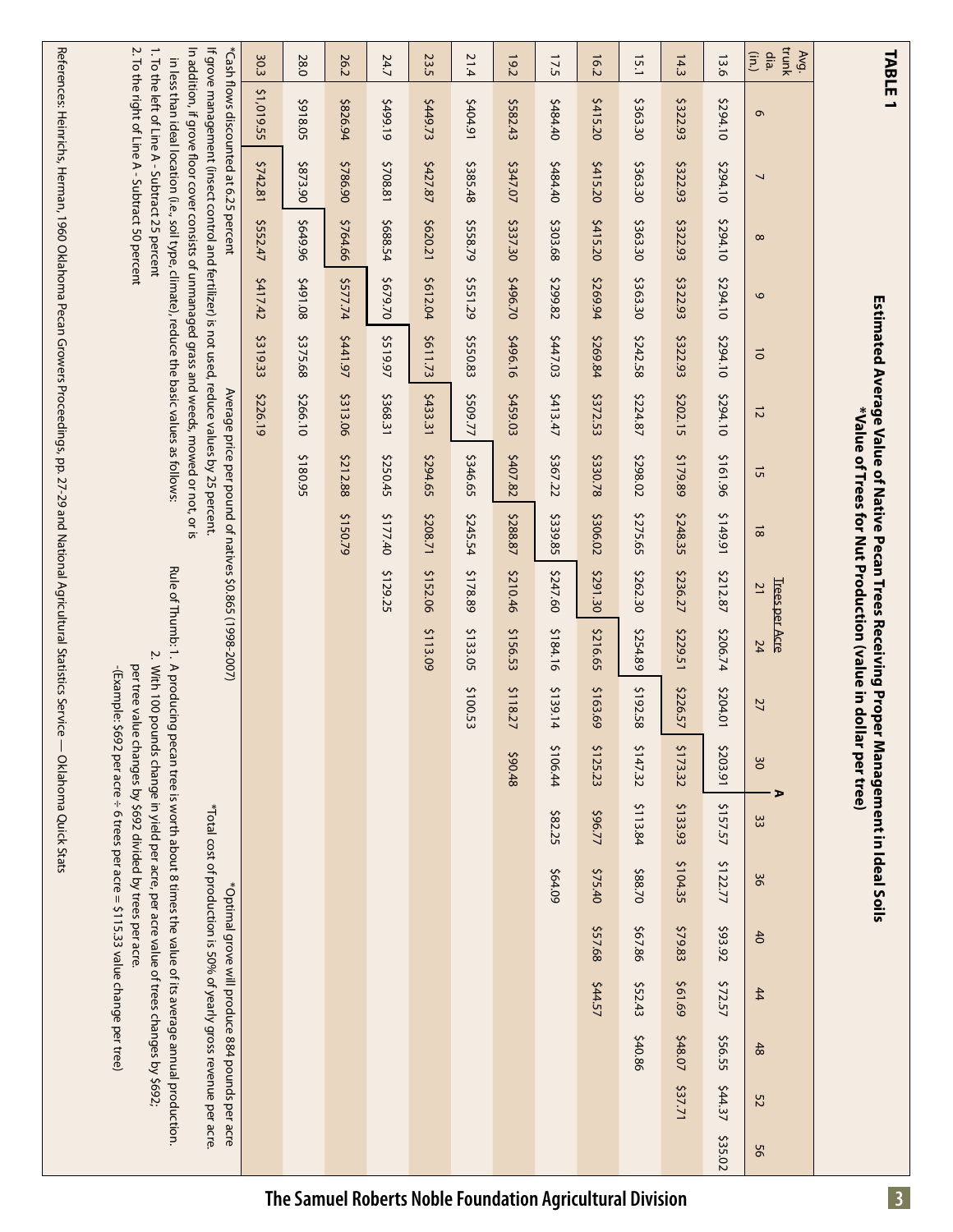|                                                                                                                                |                                                                                                                                                                                                                                                                                                                                                                                                                                             | 30.3       | 28.0     | 26.2          | 24.7     | 23.5     | 21.4     | 19.2     | 17.5      | 16.2     | 15.1     | 14.3     | 13.6     | trunk<br>Avg.<br>dia.<br>$\left( \text{in} \right)$ |                                                               |
|--------------------------------------------------------------------------------------------------------------------------------|---------------------------------------------------------------------------------------------------------------------------------------------------------------------------------------------------------------------------------------------------------------------------------------------------------------------------------------------------------------------------------------------------------------------------------------------|------------|----------|---------------|----------|----------|----------|----------|-----------|----------|----------|----------|----------|-----------------------------------------------------|---------------------------------------------------------------|
|                                                                                                                                |                                                                                                                                                                                                                                                                                                                                                                                                                                             |            |          |               |          |          |          |          |           |          |          |          |          |                                                     | TABLE                                                         |
|                                                                                                                                |                                                                                                                                                                                                                                                                                                                                                                                                                                             | \$1,019.55 | \$918.05 | 46'928\$      | 61'66t\$ | \$449.73 | 16'70'5  | \$582.43 | 07:84.40  | \$415.20 | \$363.30 | \$322.93 | \$294.10 | G                                                   |                                                               |
| References: Heinrichs, Herman, 1960 Oklahoma Pecan Growers Proceedings, pp. 27-29 and National Agricultural Statistics Service | 1. To the left of Line A - Subtract 25 percent<br>2. To the right of Line A - Subtract 50 percent<br>In addition, if grove floor cover consists of unmanaged grass and weeds, mowed or not, or is<br>If grove management (insect control and fertilizer) is not used, reduce values by 25 percent.<br>*Cash flows discounted at 6.25 percent<br>in less than ideal location (i.e., soil type, climate), reduce the basic values as follows: | \$742.81   | 06'23'   | \$786.90      | \$708.81 | \$427.87 | \$385.48 | 1247.07  | 04.484.40 | \$415.20 | \$363.30 | \$322.93 | \$294.10 |                                                     |                                                               |
|                                                                                                                                |                                                                                                                                                                                                                                                                                                                                                                                                                                             | \$552.47   | 96'6b9\$ | \$764.66      | \$688.54 | \$620.21 | \$558.79 | \$337.30 | \$303.68  | \$415.20 | \$363.30 | \$322.93 | \$294.10 | $\infty$                                            |                                                               |
|                                                                                                                                |                                                                                                                                                                                                                                                                                                                                                                                                                                             | 5417.42    | 80.1942  | 477.74        | \$679.70 | \$612.04 | \$551.29 | 02'96'   | \$299.82  | 5269.94  | \$363.30 | \$322.93 | \$294.10 | 6                                                   |                                                               |
|                                                                                                                                |                                                                                                                                                                                                                                                                                                                                                                                                                                             | \$319.33   | \$375.68 | <b>141.97</b> | \$519.97 | \$611.73 | \$550.83 | \$496.16 | \$447.03  | \$269.84 | \$242.58 | \$322.93 | \$294.10 | $\vec{0}$                                           |                                                               |
|                                                                                                                                |                                                                                                                                                                                                                                                                                                                                                                                                                                             | \$226.19   | \$266.10 | \$313.06      | \$368.31 | \$433.31 | \$509.77 | \$459.03 | 5413.47   | \$372.53 | \$224.87 | \$202.15 | \$294.10 | $\vec{z}$                                           | Estimated Average Value of Native Pecan Trees Receiving Prope |
|                                                                                                                                | Average price per pound of natives \$0.865 (1998-2007)                                                                                                                                                                                                                                                                                                                                                                                      |            | \$180.95 | \$212.88      | \$250.45 | \$294.65 | \$346.65 | \$407.82 | \$367.22  | \$330.78 | \$298.02 | \$179.89 | 5161.96  | $\vec{5}$                                           | *Value of Trees for Nut Production (value in dol              |
|                                                                                                                                |                                                                                                                                                                                                                                                                                                                                                                                                                                             |            |          | \$150.79      | 0777.40  | \$208.71 | \$245.54 | \$288.87 | \$339.85  | \$306.02 | \$275.65 | \$248.35 | 2149.91  | $\overline{\infty}$                                 |                                                               |
|                                                                                                                                |                                                                                                                                                                                                                                                                                                                                                                                                                                             |            |          |               | \$129.25 | \$152.06 | \$178.89 | \$210.46 | \$247.60  | \$291.30 | \$262.30 | \$236.27 | \$212.87 | <b>Trees per Acre</b><br>$\overline{2}$             |                                                               |
|                                                                                                                                | Rule of Thumb: 1. A producing<br>Ņ.                                                                                                                                                                                                                                                                                                                                                                                                         |            |          |               |          | \$113.09 | \$133.05 | \$156.53 | \$184.16  | \$216.65 | \$254.89 | \$229.51 | \$206.74 | 24                                                  |                                                               |
|                                                                                                                                | -(Example: \$                                                                                                                                                                                                                                                                                                                                                                                                                               |            |          |               |          |          | \$100.53 | \$118.27 | \$139.14  | \$163.69 | \$192.58 | \$226.57 | \$204.01 | 77                                                  |                                                               |
|                                                                                                                                | per tree value changes by \$692 divided by trees per acre.                                                                                                                                                                                                                                                                                                                                                                                  |            |          |               |          |          |          | 84.06\$  | \$106.44  | \$125.23 | \$147.32 | \$173.32 | \$203.91 | $\frac{8}{20}$                                      | r Management in Ideal Soils<br>ar per tree)                   |
| Oklahoma Quick Stats                                                                                                           |                                                                                                                                                                                                                                                                                                                                                                                                                                             |            |          |               |          |          |          |          | \$82.25   | \$96.77  | \$113.84 | \$133.93 | \$157.57 | ⋗<br>33                                             |                                                               |
|                                                                                                                                |                                                                                                                                                                                                                                                                                                                                                                                                                                             |            |          |               |          |          |          |          | \$64.09   | \$75.40  | \$88.70  | \$104.35 | \$122.77 | 9g                                                  |                                                               |
|                                                                                                                                |                                                                                                                                                                                                                                                                                                                                                                                                                                             |            |          |               |          |          |          |          |           | \$57.68  | \$67.86  | \$79.83  | \$93.92  | 40                                                  |                                                               |
|                                                                                                                                | 692 per acre $\div$ 6 trees per acre $=$ \$115.33 value change per tree)                                                                                                                                                                                                                                                                                                                                                                    |            |          |               |          |          |          |          |           | 544.57   | \$52.43  | 69'19\$  | \$72.57  | $\ddot{4}$                                          |                                                               |
|                                                                                                                                | With 100 pounds change in yield per acre, per acre value of trees changes by \$692<br>pecan tree is worth about 8 times the value of its average annual production.<br>*Total cost of production is 50% of yearly gross revenue per acre.<br>*Optimal grove will produce 884 pounds per acre                                                                                                                                                |            |          |               |          |          |          |          |           |          | \$40.86  | \$48.07  | \$56.55  | 48                                                  |                                                               |
|                                                                                                                                |                                                                                                                                                                                                                                                                                                                                                                                                                                             |            |          |               |          |          |          |          |           |          |          | 127.71   | 544.37   | 22                                                  |                                                               |
|                                                                                                                                |                                                                                                                                                                                                                                                                                                                                                                                                                                             |            |          |               |          |          |          |          |           |          |          |          | \$35.02  | 95                                                  |                                                               |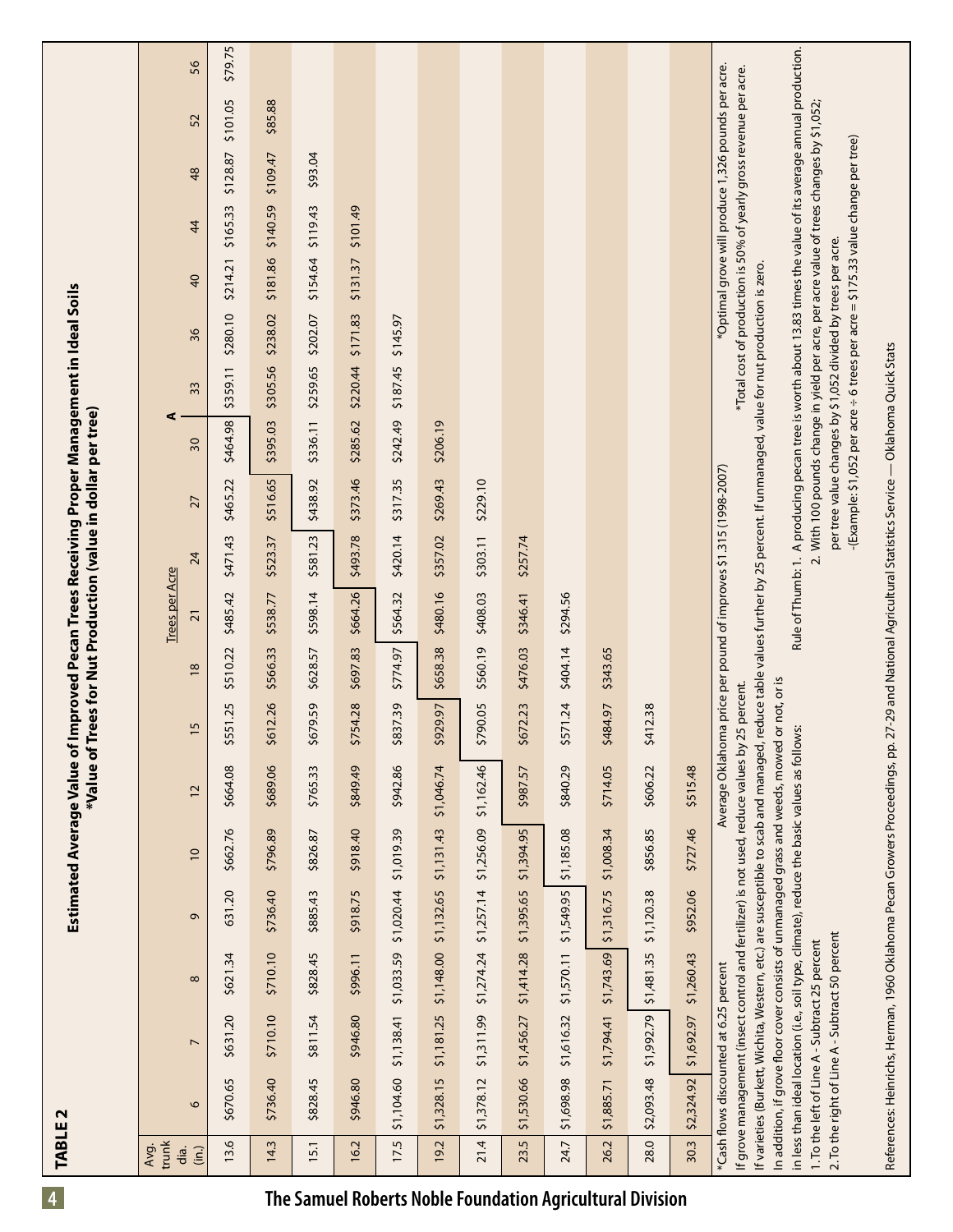| \$294.56<br>\$404.14<br>\$343.65<br>71.24<br>\$484.97<br>\$412.38<br>$\frac{5}{5}$<br>\$515.48<br>\$840.29<br>\$714.05<br>\$606.22<br>\$1,185.08<br>\$727.46<br>\$856.85<br>\$1,008.34<br>\$1,549.95<br>\$1,316.75<br>\$952.06<br>\$1,120.38 |
|----------------------------------------------------------------------------------------------------------------------------------------------------------------------------------------------------------------------------------------------|
|                                                                                                                                                                                                                                              |
|                                                                                                                                                                                                                                              |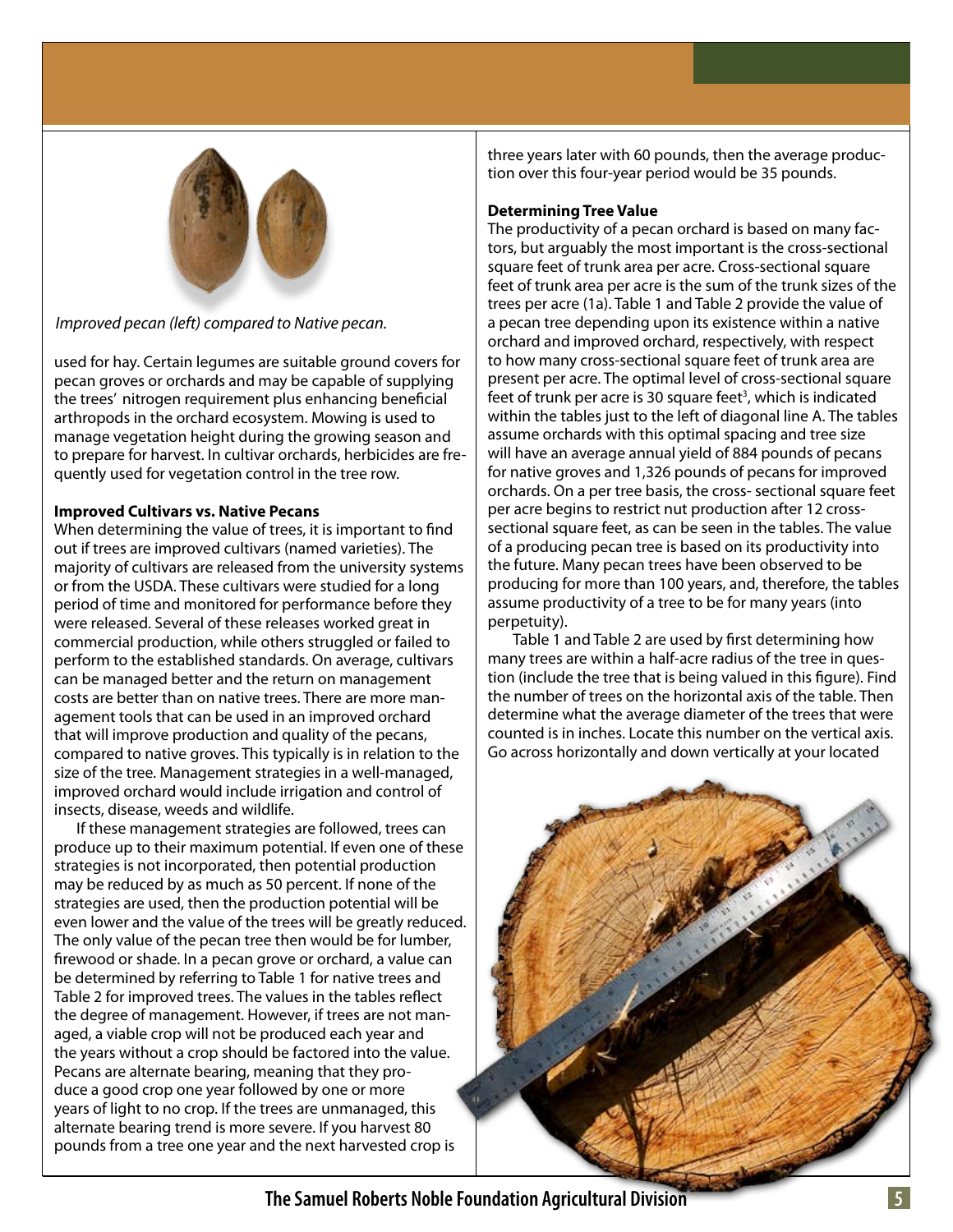

#### *Improved pecan (left) compared to Native pecan.*

used for hay. Certain legumes are suitable ground covers for pecan groves or orchards and may be capable of supplying the trees' nitrogen requirement plus enhancing beneficial arthropods in the orchard ecosystem. Mowing is used to manage vegetation height during the growing season and to prepare for harvest. In cultivar orchards, herbicides are frequently used for vegetation control in the tree row.

#### **Improved Cultivars vs. Native Pecans**

When determining the value of trees, it is important to find out if trees are improved cultivars (named varieties). The majority of cultivars are released from the university systems or from the USDA. These cultivars were studied for a long period of time and monitored for performance before they were released. Several of these releases worked great in commercial production, while others struggled or failed to perform to the established standards. On average, cultivars can be managed better and the return on management costs are better than on native trees. There are more management tools that can be used in an improved orchard that will improve production and quality of the pecans, compared to native groves. This typically is in relation to the size of the tree. Management strategies in a well-managed, improved orchard would include irrigation and control of insects, disease, weeds and wildlife.

If these management strategies are followed, trees can produce up to their maximum potential. If even one of these strategies is not incorporated, then potential production may be reduced by as much as 50 percent. If none of the strategies are used, then the production potential will be even lower and the value of the trees will be greatly reduced. The only value of the pecan tree then would be for lumber, firewood or shade. In a pecan grove or orchard, a value can be determined by referring to Table 1 for native trees and Table 2 for improved trees. The values in the tables reflect the degree of management. However, if trees are not managed, a viable crop will not be produced each year and the years without a crop should be factored into the value. Pecans are alternate bearing, meaning that they produce a good crop one year followed by one or more years of light to no crop. If the trees are unmanaged, this alternate bearing trend is more severe. If you harvest 80 pounds from a tree one year and the next harvested crop is

three years later with 60 pounds, then the average production over this four-year period would be 35 pounds.

#### **Determining Tree Value**

The productivity of a pecan orchard is based on many factors, but arguably the most important is the cross-sectional square feet of trunk area per acre. Cross-sectional square feet of trunk area per acre is the sum of the trunk sizes of the trees per acre (1a). Table 1 and Table 2 provide the value of a pecan tree depending upon its existence within a native orchard and improved orchard, respectively, with respect to how many cross-sectional square feet of trunk area are present per acre. The optimal level of cross-sectional square feet of trunk per acre is 30 square feet<sup>3</sup>, which is indicated within the tables just to the left of diagonal line A. The tables assume orchards with this optimal spacing and tree size will have an average annual yield of 884 pounds of pecans for native groves and 1,326 pounds of pecans for improved orchards. On a per tree basis, the cross- sectional square feet per acre begins to restrict nut production after 12 crosssectional square feet, as can be seen in the tables. The value of a producing pecan tree is based on its productivity into the future. Many pecan trees have been observed to be producing for more than 100 years, and, therefore, the tables assume productivity of a tree to be for many years (into perpetuity).

 Table 1 and Table 2 are used by first determining how many trees are within a half-acre radius of the tree in question (include the tree that is being valued in this figure). Find the number of trees on the horizontal axis of the table. Then determine what the average diameter of the trees that were counted is in inches. Locate this number on the vertical axis. Go across horizontally and down vertically at your located



**The Samuel Roberts Noble Foundation Agricultural Division 5**